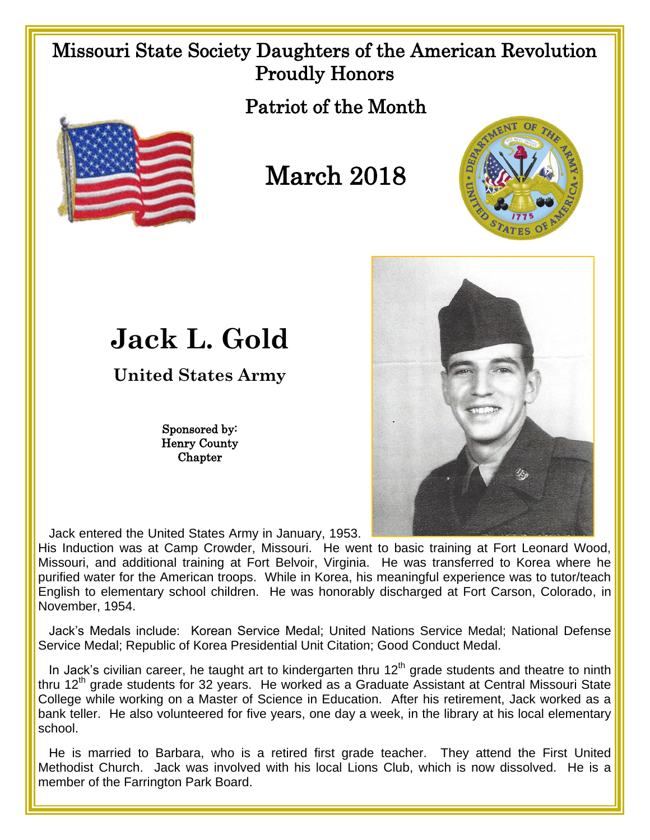## Missouri State Society Daughters of the American Revolution Proudly Honors

Patriot of the Month



## March 2018





## **Jack L. Gold**

**United States Army**

Sponsored by: Henry County **Chapter** 

Jack entered the United States Army in January, 1953.

His Induction was at Camp Crowder, Missouri. He went to basic training at Fort Leonard Wood, Missouri, and additional training at Fort Belvoir, Virginia. He was transferred to Korea where he purified water for the American troops. While in Korea, his meaningful experience was to tutor/teach English to elementary school children. He was honorably discharged at Fort Carson, Colorado, in November, 1954.

 Jack's Medals include: Korean Service Medal; United Nations Service Medal; National Defense Service Medal; Republic of Korea Presidential Unit Citation; Good Conduct Medal.

In Jack's civilian career, he taught art to kindergarten thru  $12<sup>th</sup>$  grade students and theatre to ninth thru  $12<sup>th</sup>$  grade students for 32 years. He worked as a Graduate Assistant at Central Missouri State College while working on a Master of Science in Education. After his retirement, Jack worked as a bank teller. He also volunteered for five years, one day a week, in the library at his local elementary school.

He is married to Barbara, who is a retired first grade teacher. They attend the First United Methodist Church. Jack was involved with his local Lions Club, which is now dissolved. He is a member of the Farrington Park Board.